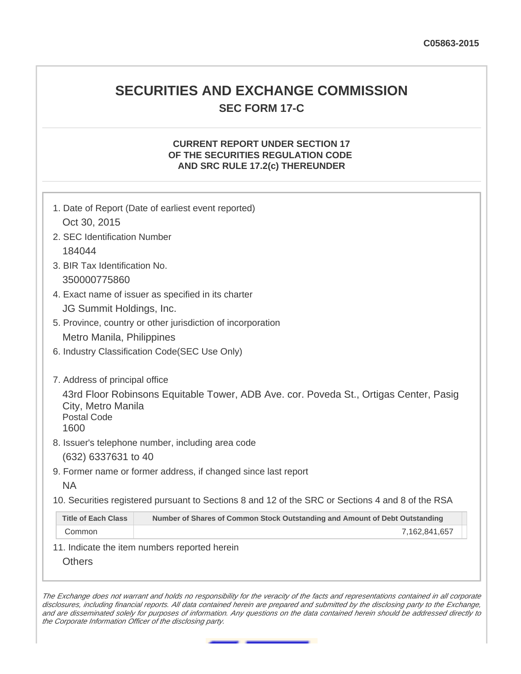# **SECURITIES AND EXCHANGE COMMISSION SEC FORM 17-C**

### **CURRENT REPORT UNDER SECTION 17 OF THE SECURITIES REGULATION CODE AND SRC RULE 17.2(c) THEREUNDER**

| 1. Date of Report (Date of earliest event reported)<br>Oct 30, 2015<br>2. SEC Identification Number<br>184044<br>3. BIR Tax Identification No.<br>350000775860<br>4. Exact name of issuer as specified in its charter<br>JG Summit Holdings, Inc.<br>5. Province, country or other jurisdiction of incorporation<br>Metro Manila, Philippines<br>6. Industry Classification Code(SEC Use Only)<br>7. Address of principal office<br>43rd Floor Robinsons Equitable Tower, ADB Ave. cor. Poveda St., Ortigas Center, Pasig<br>City, Metro Manila<br><b>Postal Code</b><br>1600<br>8. Issuer's telephone number, including area code<br>(632) 6337631 to 40<br>9. Former name or former address, if changed since last report<br><b>NA</b><br>10. Securities registered pursuant to Sections 8 and 12 of the SRC or Sections 4 and 8 of the RSA<br><b>Title of Each Class</b><br>Number of Shares of Common Stock Outstanding and Amount of Debt Outstanding<br>Common<br>7,162,841,657<br>11. Indicate the item numbers reported herein<br><b>Others</b> |  |  |  |  |  |
|---------------------------------------------------------------------------------------------------------------------------------------------------------------------------------------------------------------------------------------------------------------------------------------------------------------------------------------------------------------------------------------------------------------------------------------------------------------------------------------------------------------------------------------------------------------------------------------------------------------------------------------------------------------------------------------------------------------------------------------------------------------------------------------------------------------------------------------------------------------------------------------------------------------------------------------------------------------------------------------------------------------------------------------------------------|--|--|--|--|--|
|                                                                                                                                                                                                                                                                                                                                                                                                                                                                                                                                                                                                                                                                                                                                                                                                                                                                                                                                                                                                                                                         |  |  |  |  |  |
|                                                                                                                                                                                                                                                                                                                                                                                                                                                                                                                                                                                                                                                                                                                                                                                                                                                                                                                                                                                                                                                         |  |  |  |  |  |
|                                                                                                                                                                                                                                                                                                                                                                                                                                                                                                                                                                                                                                                                                                                                                                                                                                                                                                                                                                                                                                                         |  |  |  |  |  |
|                                                                                                                                                                                                                                                                                                                                                                                                                                                                                                                                                                                                                                                                                                                                                                                                                                                                                                                                                                                                                                                         |  |  |  |  |  |
|                                                                                                                                                                                                                                                                                                                                                                                                                                                                                                                                                                                                                                                                                                                                                                                                                                                                                                                                                                                                                                                         |  |  |  |  |  |
|                                                                                                                                                                                                                                                                                                                                                                                                                                                                                                                                                                                                                                                                                                                                                                                                                                                                                                                                                                                                                                                         |  |  |  |  |  |
|                                                                                                                                                                                                                                                                                                                                                                                                                                                                                                                                                                                                                                                                                                                                                                                                                                                                                                                                                                                                                                                         |  |  |  |  |  |
|                                                                                                                                                                                                                                                                                                                                                                                                                                                                                                                                                                                                                                                                                                                                                                                                                                                                                                                                                                                                                                                         |  |  |  |  |  |
|                                                                                                                                                                                                                                                                                                                                                                                                                                                                                                                                                                                                                                                                                                                                                                                                                                                                                                                                                                                                                                                         |  |  |  |  |  |
|                                                                                                                                                                                                                                                                                                                                                                                                                                                                                                                                                                                                                                                                                                                                                                                                                                                                                                                                                                                                                                                         |  |  |  |  |  |
|                                                                                                                                                                                                                                                                                                                                                                                                                                                                                                                                                                                                                                                                                                                                                                                                                                                                                                                                                                                                                                                         |  |  |  |  |  |
|                                                                                                                                                                                                                                                                                                                                                                                                                                                                                                                                                                                                                                                                                                                                                                                                                                                                                                                                                                                                                                                         |  |  |  |  |  |
|                                                                                                                                                                                                                                                                                                                                                                                                                                                                                                                                                                                                                                                                                                                                                                                                                                                                                                                                                                                                                                                         |  |  |  |  |  |
|                                                                                                                                                                                                                                                                                                                                                                                                                                                                                                                                                                                                                                                                                                                                                                                                                                                                                                                                                                                                                                                         |  |  |  |  |  |
|                                                                                                                                                                                                                                                                                                                                                                                                                                                                                                                                                                                                                                                                                                                                                                                                                                                                                                                                                                                                                                                         |  |  |  |  |  |
|                                                                                                                                                                                                                                                                                                                                                                                                                                                                                                                                                                                                                                                                                                                                                                                                                                                                                                                                                                                                                                                         |  |  |  |  |  |
|                                                                                                                                                                                                                                                                                                                                                                                                                                                                                                                                                                                                                                                                                                                                                                                                                                                                                                                                                                                                                                                         |  |  |  |  |  |
|                                                                                                                                                                                                                                                                                                                                                                                                                                                                                                                                                                                                                                                                                                                                                                                                                                                                                                                                                                                                                                                         |  |  |  |  |  |
|                                                                                                                                                                                                                                                                                                                                                                                                                                                                                                                                                                                                                                                                                                                                                                                                                                                                                                                                                                                                                                                         |  |  |  |  |  |
|                                                                                                                                                                                                                                                                                                                                                                                                                                                                                                                                                                                                                                                                                                                                                                                                                                                                                                                                                                                                                                                         |  |  |  |  |  |
|                                                                                                                                                                                                                                                                                                                                                                                                                                                                                                                                                                                                                                                                                                                                                                                                                                                                                                                                                                                                                                                         |  |  |  |  |  |
|                                                                                                                                                                                                                                                                                                                                                                                                                                                                                                                                                                                                                                                                                                                                                                                                                                                                                                                                                                                                                                                         |  |  |  |  |  |
|                                                                                                                                                                                                                                                                                                                                                                                                                                                                                                                                                                                                                                                                                                                                                                                                                                                                                                                                                                                                                                                         |  |  |  |  |  |
|                                                                                                                                                                                                                                                                                                                                                                                                                                                                                                                                                                                                                                                                                                                                                                                                                                                                                                                                                                                                                                                         |  |  |  |  |  |

The Exchange does not warrant and holds no responsibility for the veracity of the facts and representations contained in all corporate disclosures, including financial reports. All data contained herein are prepared and submitted by the disclosing party to the Exchange, and are disseminated solely for purposes of information. Any questions on the data contained herein should be addressed directly to the Corporate Information Officer of the disclosing party.